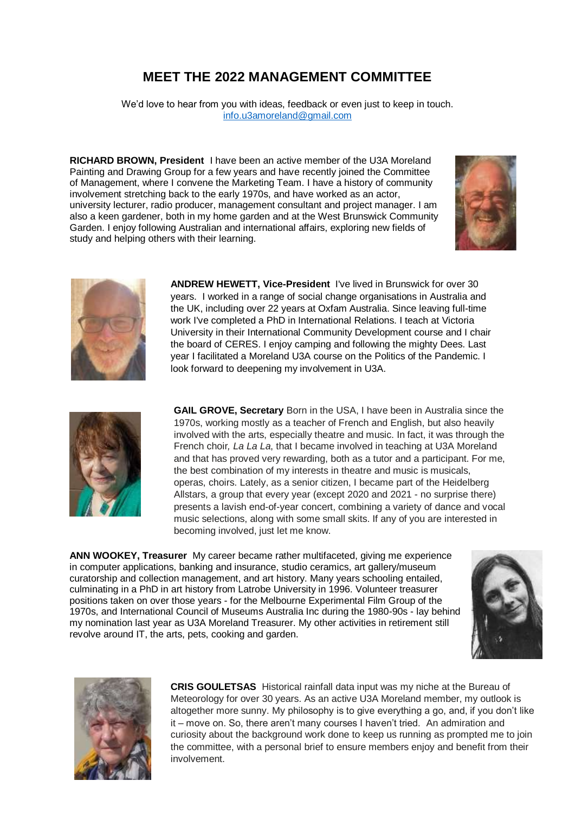## **MEET THE 2022 MANAGEMENT COMMITTEE**

We'd love to hear from you with ideas, feedback or even just to keep in touch. [info.u3amoreland@gmail.com](mailto:info.u3amoreland@gmail.com)

**RICHARD BROWN, President** I have been an active member of the U3A Moreland Painting and Drawing Group for a few years and have recently joined the Committee of Management, where I convene the Marketing Team. I have a history of community involvement stretching back to the early 1970s, and have worked as an actor, university lecturer, radio producer, management consultant and project manager. I am also a keen gardener, both in my home garden and at the West Brunswick Community Garden. I enjoy following Australian and international affairs, exploring new fields of study and helping others with their learning.





**ANDREW HEWETT, Vice-President** I've lived in Brunswick for over 30 years. I worked in a range of social change organisations in Australia and the UK, including over 22 years at Oxfam Australia. Since leaving full-time work I've completed a PhD in International Relations. I teach at Victoria University in their International Community Development course and I chair the board of CERES. I enjoy camping and following the mighty Dees. Last year I facilitated a Moreland U3A course on the Politics of the Pandemic. I look forward to deepening my involvement in U3A.



**GAIL GROVE, Secretary** Born in the USA, I have been in Australia since the 1970s, working mostly as a teacher of French and English, but also heavily involved with the arts, especially theatre and music. In fact, it was through the French choir*, La La La*, that I became involved in teaching at U3A Moreland and that has proved very rewarding, both as a tutor and a participant. For me, the best combination of my interests in theatre and music is musicals, operas, choirs. Lately, as a senior citizen, I became part of the Heidelberg Allstars, a group that every year (except 2020 and 2021 - no surprise there) presents a lavish end-of-year concert, combining a variety of dance and vocal music selections, along with some small skits. If any of you are interested in becoming involved, just let me know.

**ANN WOOKEY, Treasurer** My career became rather multifaceted, giving me experience in computer applications, banking and insurance, studio ceramics, art gallery/museum curatorship and collection management, and art history. Many years schooling entailed, culminating in a PhD in art history from Latrobe University in 1996. Volunteer treasurer positions taken on over those years - for the Melbourne Experimental Film Group of the 1970s, and International Council of Museums Australia Inc during the 1980-90s - lay behind my nomination last year as U3A Moreland Treasurer. My other activities in retirement still revolve around IT, the arts, pets, cooking and garden.





**CRIS GOULETSAS** Historical rainfall data input was my niche at the Bureau of Meteorology for over 30 years. As an active U3A Moreland member, my outlook is altogether more sunny. My philosophy is to give everything a go, and, if you don't like it – move on. So, there aren't many courses I haven't tried. An admiration and curiosity about the background work done to keep us running as prompted me to join the committee, with a personal brief to ensure members enjoy and benefit from their involvement.